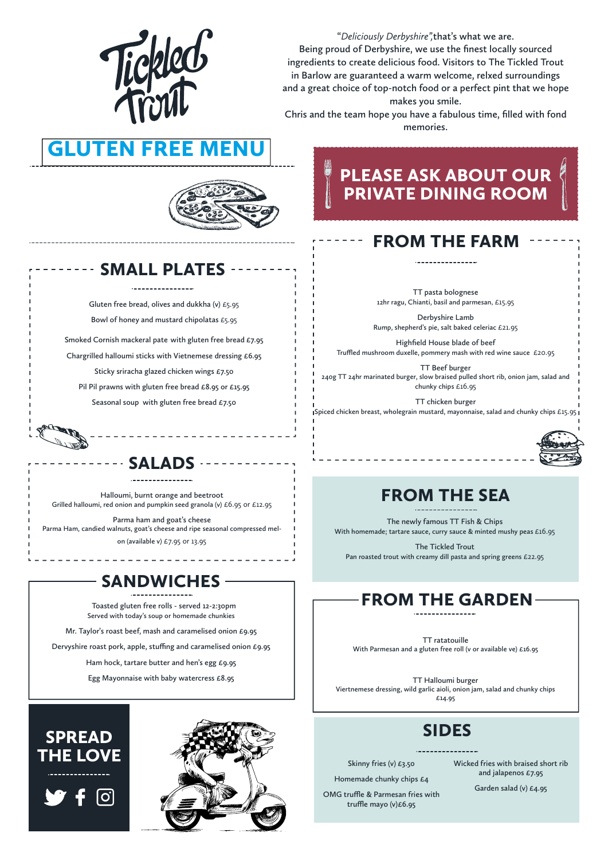#### SMALL PLATES

Gluten free bread, olives and dukkha (v)  $£5.95$ Bowl of honey and mustard chipolatas £5.95

Smoked Cornish mackeral pate with gluten free bread £7.95 Chargrilled halloumi sticks with Vietnemese dressing £6.95 Sticky sriracha glazed chicken wings £7.50 Pil Pil prawns with gluten free bread £8.95 or £15.95

Seasonal soup with gluten free bread  $£7.50$ 

#### FROM THE GARDEN

TT pasta bolognese 12hr ragu, Chianti, basil and parmesan, £15.95

TT ratatouille With Parmesan and a gluten free roll (v or available ve) £16.95

Ham hock, tartare butter and hen's egg £9.95

TT Halloumi burger Viertnemese dressing, wild garlic aioli, onion jam, salad and chunky chips £14.95

#### FROM THE SEA

The newly famous TT Fish & Chips With homemade; tartare sauce, curry sauce & minted mushy peas £16.95

The Tickled Trout Pan roasted trout with creamy dill pasta and spring greens £22.95

## FROM THE FARM

Derbyshire Lamb Rump, shepherd's pie, salt baked celeriac £21.95

Highfield House blade of beef Truffled mushroom duxelle, pommery mash with red wine sauce  $£20.95$ 

Chris and the team hope you have a fabulous time, filled with fond memories.

# **GLUTEN FREE**



TT Beef burger 240g TT 24hr marinated burger, slow braised pulled short rib, onion jam, salad and chunky chips £16.95

TT chicken burger

Spiced chicken breast, wholegrain mustard, mayonnaise, salad and chunky chips £15.95



#### SIDES

Skinny fries (v) £3.50 Homemade chunky chips £4

OMG truffle & Parmesan fries with truffle mayo  $(v) \text{\textsterling}6.95$ 

Wicked fries with braised short rib and jalapenos £7.95

Garden salad (v) £4.95

SPREAD THE LOVE



## PLEASE ASK ABOUT OUR PRIVATE DINING ROOM



"Deliciously Derbyshire",that's what we are. Being proud of Derbyshire, we use the finest locally sourced ingredients to create delicious food. Visitors to The Tickled Trout in Barlow are guaranteed a warm welcome, relxed surroundings and a great choice of top-notch food or a perfect pint that we hope makes you smile.

#### SALADS

Halloumi, burnt orange and beetroot Grilled halloumi, red onion and pumpkin seed granola (v) £6.95 or £12.95

Parma ham and goat's cheese Parma Ham, candied walnuts, goat's cheese and ripe seasonal compressed mel-

on (available v) £7.95 or 13.95

### SANDWICHES

Toasted gluten free rolls - served 12-2:30pm Served with today's soup or homemade chunkies

Mr. Taylor's roast beef, mash and caramelised onion £9.95

Dervyshire roast pork, apple, stuffing and caramelised onion £9.95

Egg Mayonnaise with baby watercress £8.95